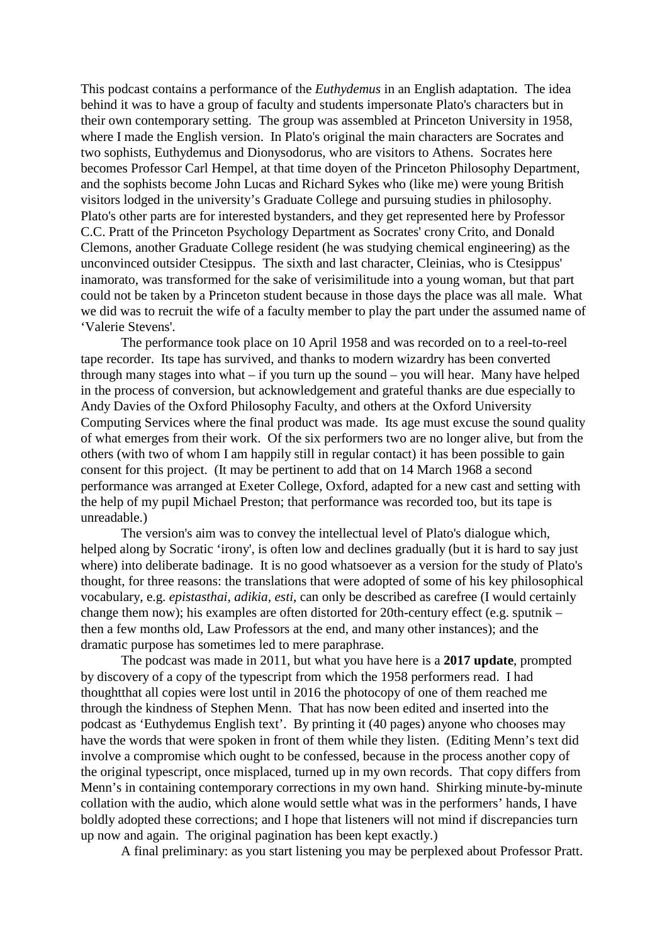This podcast contains a performance of the *Euthydemus* in an English adaptation. The idea behind it was to have a group of faculty and students impersonate Plato's characters but in their own contemporary setting. The group was assembled at Princeton University in 1958, where I made the English version. In Plato's original the main characters are Socrates and two sophists, Euthydemus and Dionysodorus, who are visitors to Athens. Socrates here becomes Professor Carl Hempel, at that time doyen of the Princeton Philosophy Department, and the sophists become John Lucas and Richard Sykes who (like me) were young British visitors lodged in the university's Graduate College and pursuing studies in philosophy. Plato's other parts are for interested bystanders, and they get represented here by Professor C.C. Pratt of the Princeton Psychology Department as Socrates' crony Crito, and Donald Clemons, another Graduate College resident (he was studying chemical engineering) as the unconvinced outsider Ctesippus. The sixth and last character, Cleinias, who is Ctesippus' inamorato, was transformed for the sake of verisimilitude into a young woman, but that part could not be taken by a Princeton student because in those days the place was all male. What we did was to recruit the wife of a faculty member to play the part under the assumed name of 'Valerie Stevens'.

The performance took place on 10 April 1958 and was recorded on to a reel-to-reel tape recorder. Its tape has survived, and thanks to modern wizardry has been converted through many stages into what – if you turn up the sound – you will hear. Many have helped in the process of conversion, but acknowledgement and grateful thanks are due especially to Andy Davies of the Oxford Philosophy Faculty, and others at the Oxford University Computing Services where the final product was made. Its age must excuse the sound quality of what emerges from their work. Of the six performers two are no longer alive, but from the others (with two of whom I am happily still in regular contact) it has been possible to gain consent for this project. (It may be pertinent to add that on 14 March 1968 a second performance was arranged at Exeter College, Oxford, adapted for a new cast and setting with the help of my pupil Michael Preston; that performance was recorded too, but its tape is unreadable.)

The version's aim was to convey the intellectual level of Plato's dialogue which, helped along by Socratic 'irony', is often low and declines gradually (but it is hard to say just where) into deliberate badinage. It is no good whatsoever as a version for the study of Plato's thought, for three reasons: the translations that were adopted of some of his key philosophical vocabulary, e.g. *epistasthai*, *adikia, esti*, can only be described as carefree (I would certainly change them now); his examples are often distorted for 20th-century effect (e.g. sputnik – then a few months old, Law Professors at the end, and many other instances); and the dramatic purpose has sometimes led to mere paraphrase.

The podcast was made in 2011, but what you have here is a **2017 update**, prompted by discovery of a copy of the typescript from which the 1958 performers read. I had thoughtthat all copies were lost until in 2016 the photocopy of one of them reached me through the kindness of Stephen Menn. That has now been edited and inserted into the podcast as 'Euthydemus English text'. By printing it (40 pages) anyone who chooses may have the words that were spoken in front of them while they listen. (Editing Menn's text did involve a compromise which ought to be confessed, because in the process another copy of the original typescript, once misplaced, turned up in my own records. That copy differs from Menn's in containing contemporary corrections in my own hand. Shirking minute-by-minute collation with the audio, which alone would settle what was in the performers' hands, I have boldly adopted these corrections; and I hope that listeners will not mind if discrepancies turn up now and again. The original pagination has been kept exactly.)

A final preliminary: as you start listening you may be perplexed about Professor Pratt.